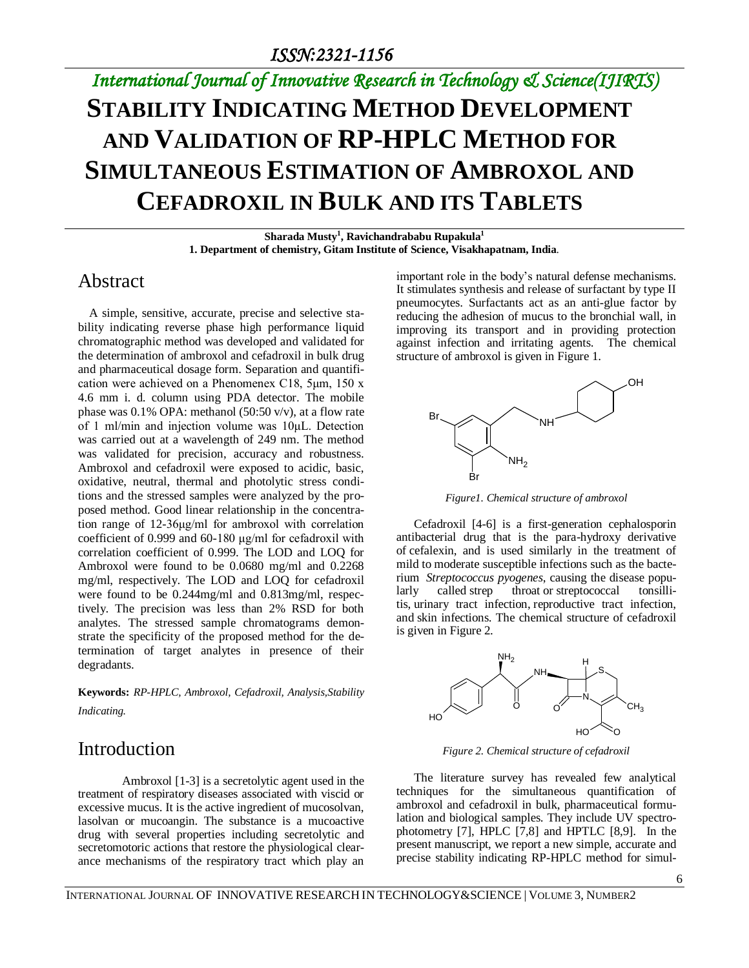# *International Journal of Innovative Research in Technology & Science(IJIRTS)* **STABILITY INDICATING METHOD DEVELOPMENT AND VALIDATION OF RP-HPLC METHOD FOR SIMULTANEOUS ESTIMATION OF AMBROXOL AND CEFADROXIL IN BULK AND ITS TABLETS**

**Sharada Musty<sup>1</sup> , Ravichandrababu Rupakula<sup>1</sup> 1. Department of chemistry, Gitam Institute of Science, Visakhapatnam, India**.

## Abstract

A simple, sensitive, accurate, precise and selective stability indicating reverse phase high performance liquid chromatographic method was developed and validated for the determination of ambroxol and cefadroxil in bulk drug and pharmaceutical dosage form. Separation and quantification were achieved on a Phenomenex C18, 5μm, 150 x 4.6 mm i. d. column using PDA detector. The mobile phase was 0.1% OPA: methanol (50:50 v/v), at a flow rate of 1 ml/min and injection volume was 10μL. Detection was carried out at a wavelength of 249 nm. The method was validated for precision, accuracy and robustness. Ambroxol and cefadroxil were exposed to acidic, basic, oxidative, neutral, thermal and photolytic stress conditions and the stressed samples were analyzed by the proposed method. Good linear relationship in the concentration range of 12-36μg/ml for ambroxol with correlation coefficient of 0.999 and 60-180 μg/ml for cefadroxil with correlation coefficient of 0.999. The LOD and LOQ for Ambroxol were found to be 0.0680 mg/ml and 0.2268 mg/ml, respectively. The LOD and LOQ for cefadroxil were found to be 0.244mg/ml and 0.813mg/ml, respectively. The precision was less than 2% RSD for both analytes. The stressed sample chromatograms demonstrate the specificity of the proposed method for the determination of target analytes in presence of their degradants.

**Keywords:** *RP-HPLC, Ambroxol, Cefadroxil, Analysis,Stability Indicating.*

# Introduction

Ambroxol [1-3] is a secretolytic agent used in the treatment of respiratory diseases associated with viscid or excessive mucus. It is the active ingredient of mucosolvan, lasolvan or mucoangin. The substance is a mucoactive drug with several properties including secretolytic and secretomotoric actions that restore the physiological clearance mechanisms of the respiratory tract which play an important role in the body's natural defense mechanisms. It stimulates synthesis and release of surfactant by type II pneumocytes. Surfactants act as an anti-glue factor by reducing the adhesion of mucus to the bronchial wall, in improving its transport and in providing protection against infection and irritating agents. The chemical structure of ambroxol is given in Figure 1.



*Figure1. Chemical structure of ambroxol*

Cefadroxil [4-6] is a first-generation cephalosporin antibacterial drug that is the para-hydroxy derivative of cefalexin, and is used similarly in the treatment of mild to moderate susceptible infections such as the bacterium *Streptococcus pyogenes*, causing the disease popularly called strep throat or streptococcal tonsillitis, urinary tract infection, reproductive tract infection, and skin infections. The chemical structure of cefadroxil is given in Figure 2.



*Figure 2. Chemical structure of cefadroxil*

The literature survey has revealed few analytical techniques for the simultaneous quantification of ambroxol and cefadroxil in bulk, pharmaceutical formulation and biological samples. They include UV spectrophotometry [7], HPLC [7,8] and HPTLC [8,9]. In the present manuscript, we report a new simple, accurate and precise stability indicating RP-HPLC method for simul-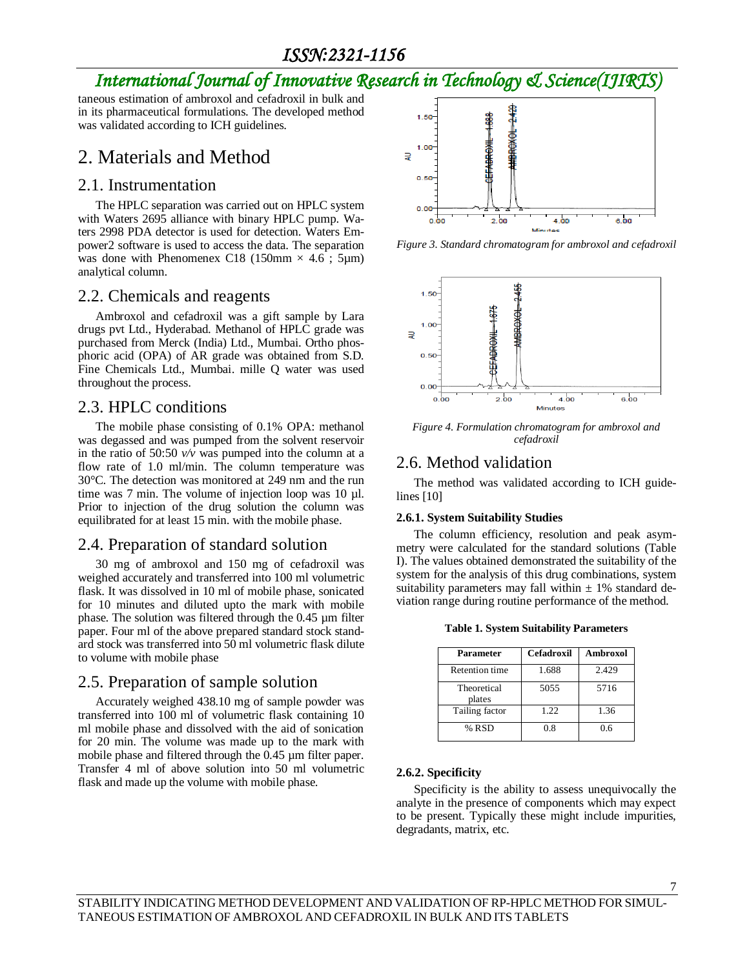## *ISSN:2321-1156*

# *International Journal of Innovative Research in Technology & Science(IJIRTS)*

taneous estimation of ambroxol and cefadroxil in bulk and in its pharmaceutical formulations. The developed method was validated according to ICH guidelines.

# 2. Materials and Method

### 2.1. Instrumentation

The HPLC separation was carried out on HPLC system with Waters 2695 alliance with binary HPLC pump. Waters 2998 PDA detector is used for detection. Waters Empower2 software is used to access the data. The separation was done with Phenomenex C18 (150mm  $\times$  4.6 ; 5µm) analytical column.

### 2.2. Chemicals and reagents

Ambroxol and cefadroxil was a gift sample by Lara drugs pvt Ltd., Hyderabad. Methanol of HPLC grade was purchased from Merck (India) Ltd., Mumbai. Ortho phosphoric acid (OPA) of AR grade was obtained from S.D. Fine Chemicals Ltd., Mumbai. mille Q water was used throughout the process.

## 2.3. HPLC conditions

The mobile phase consisting of 0.1% OPA: methanol was degassed and was pumped from the solvent reservoir in the ratio of 50:50 *v/v* was pumped into the column at a flow rate of 1.0 ml/min. The column temperature was 30°C. The detection was monitored at 249 nm and the run time was 7 min. The volume of injection loop was 10 µl. Prior to injection of the drug solution the column was equilibrated for at least 15 min. with the mobile phase.

## 2.4. Preparation of standard solution

30 mg of ambroxol and 150 mg of cefadroxil was weighed accurately and transferred into 100 ml volumetric flask. It was dissolved in 10 ml of mobile phase, sonicated for 10 minutes and diluted upto the mark with mobile phase. The solution was filtered through the 0.45 µm filter paper. Four ml of the above prepared standard stock standard stock was transferred into 50 ml volumetric flask dilute to volume with mobile phase

## 2.5. Preparation of sample solution

Accurately weighed 438.10 mg of sample powder was transferred into 100 ml of volumetric flask containing 10 ml mobile phase and dissolved with the aid of sonication for 20 min. The volume was made up to the mark with mobile phase and filtered through the 0.45 µm filter paper. Transfer 4 ml of above solution into 50 ml volumetric flask and made up the volume with mobile phase.



*Figure 3. Standard chromatogram for ambroxol and cefadroxil*



*Figure 4. Formulation chromatogram for ambroxol and cefadroxil*

## 2.6. Method validation

The method was validated according to ICH guidelines [10]

#### **2.6.1. System Suitability Studies**

The column efficiency, resolution and peak asymmetry were calculated for the standard solutions (Table I). The values obtained demonstrated the suitability of the system for the analysis of this drug combinations, system suitability parameters may fall within  $\pm$  1% standard deviation range during routine performance of the method.

**Table 1. System Suitability Parameters**

| <b>Parameter</b>      | <b>Cefadroxil</b> | <b>Ambroxol</b> |
|-----------------------|-------------------|-----------------|
| <b>Retention time</b> | 1.688             | 2.429           |
| Theoretical<br>plates | 5055              | 5716            |
| Tailing factor        | 1.22              | 1.36            |
| % RSD                 | 0.8               | 0.6             |

### **2.6.2. Specificity**

Specificity is the ability to assess unequivocally the analyte in the presence of components which may expect to be present. Typically these might include impurities, degradants, matrix, etc.

7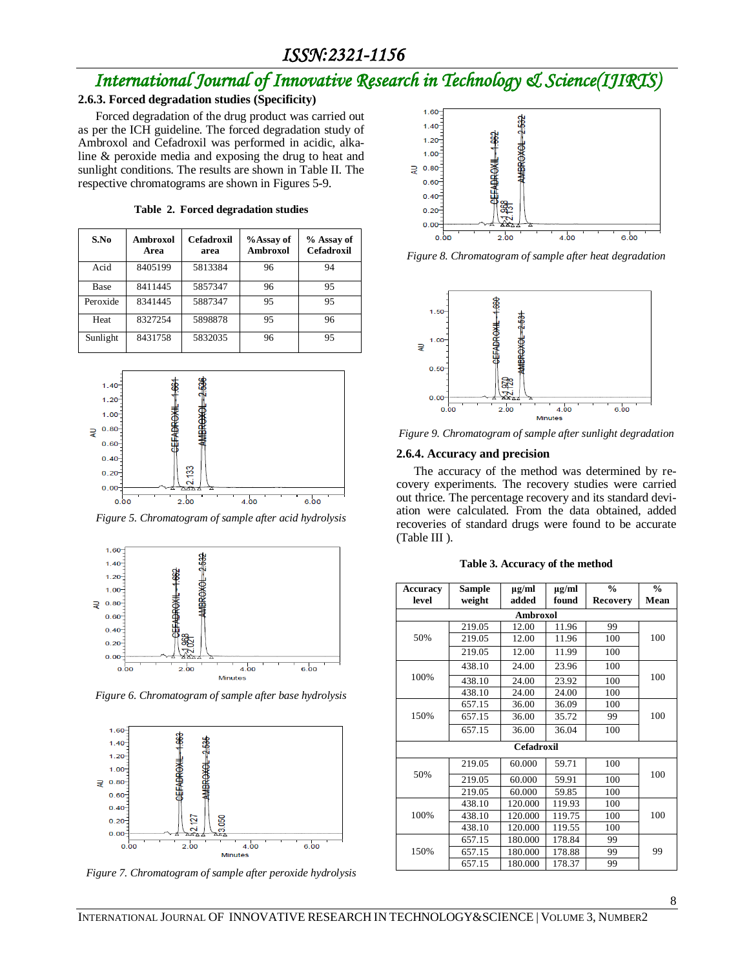## *ISSN:2321-1156*

# *International Journal of Innovative Research in Technology & Science(IJIRTS)*

#### **2.6.3. Forced degradation studies (Specificity)**

Forced degradation of the drug product was carried out as per the ICH guideline. The forced degradation study of Ambroxol and Cefadroxil was performed in acidic, alkaline & peroxide media and exposing the drug to heat and sunlight conditions. The results are shown in Table II. The respective chromatograms are shown in Figures 5-9.

| S.No     | Ambroxol<br>Area | <b>Cefadroxil</b><br>area | %Assay of<br>Ambroxol | % Assay of<br><b>Cefadroxil</b> |
|----------|------------------|---------------------------|-----------------------|---------------------------------|
| Acid     | 8405199          | 5813384                   | 96                    | 94                              |
| Base     | 8411445          | 5857347                   | 96                    | 95                              |
| Peroxide | 8341445          | 5887347                   | 95                    | 95                              |
| Heat     | 8327254          | 5898878                   | 95                    | 96                              |
| Sunlight | 8431758          | 5832035                   | 96                    | 95                              |

**Table 2. Forced degradation studies**



*Figure 5. Chromatogram of sample after acid hydrolysis*



*Figure 6. Chromatogram of sample after base hydrolysis*



*Figure 7. Chromatogram of sample after peroxide hydrolysis*



*Figure 8. Chromatogram of sample after heat degradation*



*Figure 9. Chromatogram of sample after sunlight degradation*

#### **2.6.4. Accuracy and precision**

The accuracy of the method was determined by recovery experiments. The recovery studies were carried out thrice. The percentage recovery and its standard deviation were calculated. From the data obtained, added recoveries of standard drugs were found to be accurate (Table III ).

| Accuracy<br>level | Sample<br>weight | $\mu$ g/ml<br>added | $\mu$ g/ml<br>found | $\frac{0}{n}$<br><b>Recovery</b> | $\frac{0}{n}$<br>Mean |
|-------------------|------------------|---------------------|---------------------|----------------------------------|-----------------------|
|                   |                  | <b>Ambroxol</b>     |                     |                                  |                       |
|                   | 219.05           | 12.00               | 11.96               | 99                               |                       |
| 50%               | 219.05           | 12.00               | 11.96               | 100                              | 100                   |
|                   | 219.05           | 12.00               | 11.99               | 100                              |                       |
|                   | 438.10           | 24.00               | 23.96               | 100                              |                       |
| 100%              | 438.10           | 24.00               | 23.92               | 100                              | 100                   |
|                   | 438.10           | 24.00               | 24.00               | 100                              |                       |
|                   | 657.15           | 36.00               | 36.09               | 100                              |                       |
| 150%              | 657.15           | 36.00               | 35.72               | 99                               | 100                   |
|                   | 657.15           | 36.00               | 36.04               | 100                              |                       |
|                   |                  | <b>Cefadroxil</b>   |                     |                                  |                       |
|                   | 219.05           | 60.000              | 59.71               | 100                              |                       |
| 50%               | 219.05           | 60.000              | 59.91               | 100                              | 100                   |
|                   | 219.05           | 60.000              | 59.85               | 100                              |                       |
|                   | 438.10           | 120.000             | 119.93              | 100                              |                       |
| 100%              | 438.10           | 120.000             | 119.75              | 100                              | 100                   |
|                   | 438.10           | 120.000             | 119.55              | 100                              |                       |
|                   | 657.15           | 180.000             | 178.84              | 99                               |                       |
| 150%              | 657.15           | 180.000             | 178.88              | 99                               | 99                    |
|                   | 657.15           | 180.000             | 178.37              | 99                               |                       |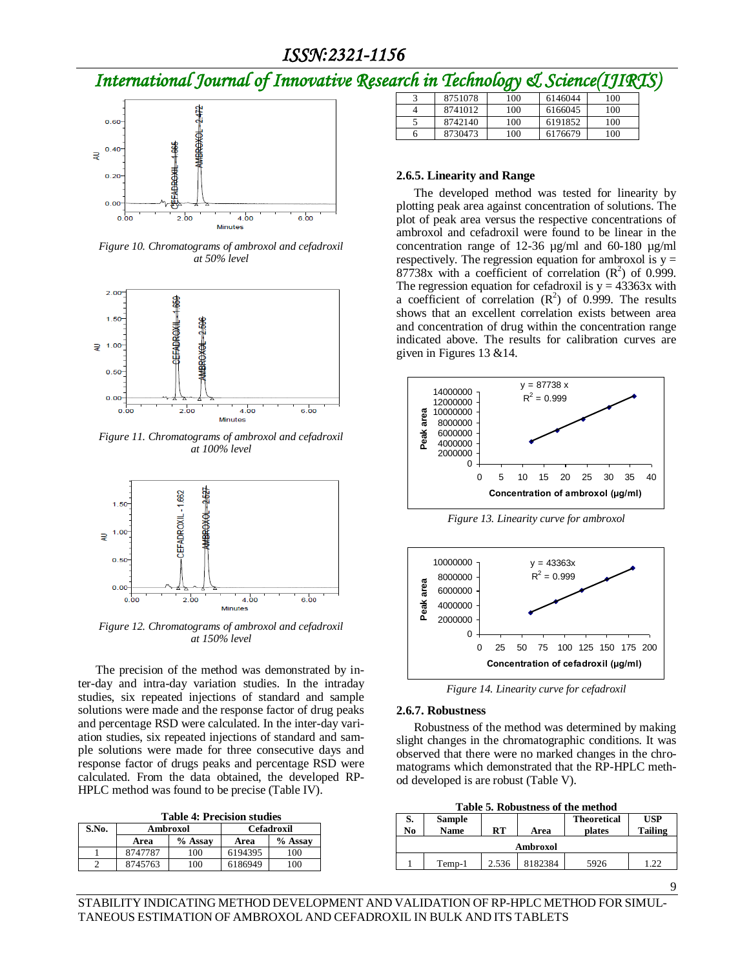# *International Journal of Innovative Research in Technology & Science(IJIRTS)*



*Figure 10. Chromatograms of ambroxol and cefadroxil at 50% level*



*Figure 11. Chromatograms of ambroxol and cefadroxil at 100% level*



*Figure 12. Chromatograms of ambroxol and cefadroxil at 150% level*

The precision of the method was demonstrated by inter-day and intra-day variation studies. In the intraday studies, six repeated injections of standard and sample solutions were made and the response factor of drug peaks and percentage RSD were calculated. In the inter-day variation studies, six repeated injections of standard and sample solutions were made for three consecutive days and response factor of drugs peaks and percentage RSD were calculated. From the data obtained, the developed RP-HPLC method was found to be precise (Table IV).

**Table 4: Precision studies**

| S.No. | Ambroxol |         | <b>Cefadroxil</b> |         |
|-------|----------|---------|-------------------|---------|
|       | Area     | % Assay | Area              | % Assay |
|       | 8747787  | 100     | 6194395           | 100     |
|       | 8745763  | 100     | 6186949           | l 00    |

| n en me Ibenhowg y<br>$\omega$ <i>o</i> $\nu$ $\nu$ $\nu$ $\alpha$ $\mu$ |         |     |         |     |  |  |  |
|--------------------------------------------------------------------------|---------|-----|---------|-----|--|--|--|
| 3                                                                        | 8751078 | 100 | 6146044 | 100 |  |  |  |
| 4                                                                        | 8741012 | 100 | 6166045 | 100 |  |  |  |
|                                                                          | 8742140 | 100 | 6191852 | 100 |  |  |  |
| n                                                                        | 8730473 | 100 | 6176679 | 100 |  |  |  |

#### **2.6.5. Linearity and Range**

The developed method was tested for linearity by plotting peak area against concentration of solutions. The plot of peak area versus the respective concentrations of ambroxol and cefadroxil were found to be linear in the concentration range of 12-36 µg/ml and 60-180 µg/ml respectively. The regression equation for ambroxol is  $y =$ 87738x with a coefficient of correlation  $(R^2)$  of 0.999. The regression equation for cefadroxil is  $y = 43363x$  with a coefficient of correlation  $(R^2)$  of 0.999. The results shows that an excellent correlation exists between area and concentration of drug within the concentration range indicated above. The results for calibration curves are given in Figures 13 &14.



*Figure 13. Linearity curve for ambroxol*



*Figure 14. Linearity curve for cefadroxil*

#### **2.6.7. Robustness**

Robustness of the method was determined by making slight changes in the chromatographic conditions. It was observed that there were no marked changes in the chromatograms which demonstrated that the RP-HPLC method developed is are robust (Table V).

|  | <b>Table 5. Robustness of the method</b> |  |  |
|--|------------------------------------------|--|--|
|--|------------------------------------------|--|--|

| S.<br>No | <b>Sample</b><br><b>Name</b> | RT    | Area    | <b>Theoretical</b><br>plates | <b>USP</b><br><b>Tailing</b> |  |
|----------|------------------------------|-------|---------|------------------------------|------------------------------|--|
| Ambroxol |                              |       |         |                              |                              |  |
|          | Temp-1                       | 2.536 | 8182384 | 5926                         | .22                          |  |

STABILITY INDICATING METHOD DEVELOPMENT AND VALIDATION OF RP-HPLC METHOD FOR SIMUL-TANEOUS ESTIMATION OF AMBROXOL AND CEFADROXIL IN BULK AND ITS TABLETS

9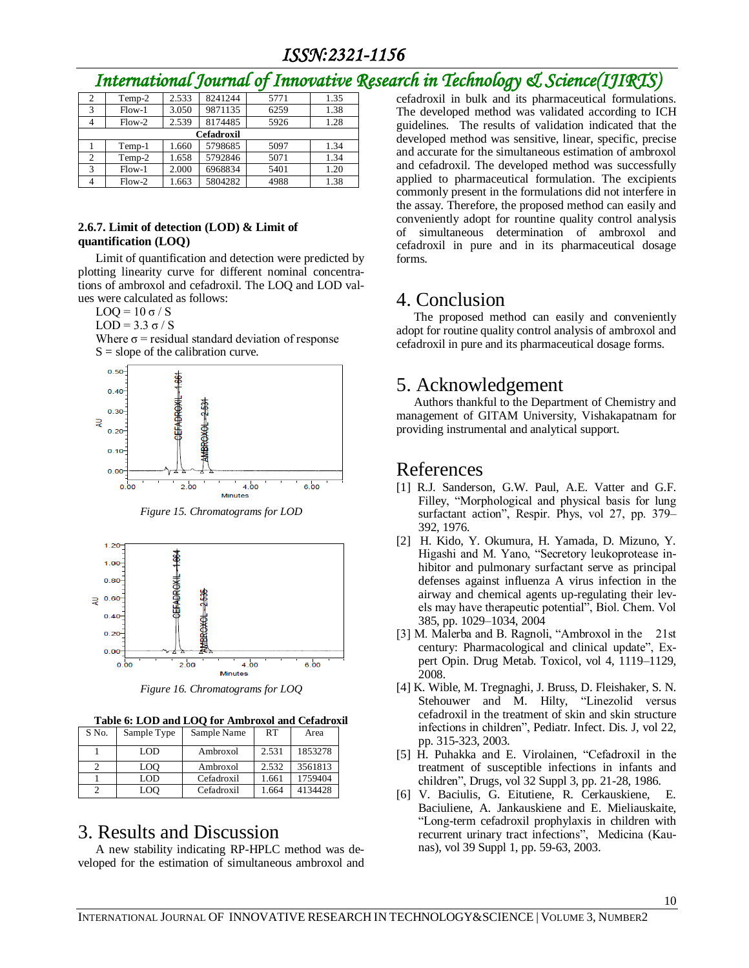# *International Journal of Innovative Research in Technology & Science(IJIRTS)*

| 2 | Temp-2     | 2.533 | 8241244 | 5771 | 1.35 |  |  |
|---|------------|-------|---------|------|------|--|--|
| 3 | $Flow-1$   | 3.050 | 9871135 | 6259 | 1.38 |  |  |
|   | $Flow-2$   | 2.539 | 8174485 | 5926 | 1.28 |  |  |
|   | Cefadroxil |       |         |      |      |  |  |
|   | Temp-1     | 1.660 | 5798685 | 5097 | 1.34 |  |  |
| 2 | Temp-2     | 1.658 | 5792846 | 5071 | 1.34 |  |  |
| 3 | $Flow-1$   | 2.000 | 6968834 | 5401 | 1.20 |  |  |
|   | $Flow-2$   | 1.663 | 5804282 | 4988 | 1.38 |  |  |

#### **2.6.7. Limit of detection (LOD) & Limit of quantification (LOQ)**

Limit of quantification and detection were predicted by plotting linearity curve for different nominal concentrations of ambroxol and cefadroxil. The LOQ and LOD values were calculated as follows:

 $\text{LOQ} = 10 \sigma / S$ 

LOD = 3.3  $\sigma$  / S

Where  $\sigma$  = residual standard deviation of response  $S =$  slope of the calibration curve.



*Figure 15. Chromatograms for LOD*



*Figure 16. Chromatograms for LOQ*

**Table 6: LOD and LOQ for Ambroxol and Cefadroxil**

| S No. | Sample Type | Sample Name | <b>RT</b> | Area    |
|-------|-------------|-------------|-----------|---------|
|       | LOD         | Ambroxol    | 2.531     | 1853278 |
|       | LOO         | Ambroxol    | 2.532     | 3561813 |
|       | LOD         | Cefadroxil  | 1.661     | 1759404 |
|       | LOO         | Cefadroxil  | 1.664     | 4134428 |

## 3. Results and Discussion

A new stability indicating RP-HPLC method was developed for the estimation of simultaneous ambroxol and cefadroxil in bulk and its pharmaceutical formulations. The developed method was validated according to ICH guidelines. The results of validation indicated that the developed method was sensitive, linear, specific, precise and accurate for the simultaneous estimation of ambroxol and cefadroxil. The developed method was successfully applied to pharmaceutical formulation. The excipients commonly present in the formulations did not interfere in the assay. Therefore, the proposed method can easily and conveniently adopt for rountine quality control analysis of simultaneous determination of ambroxol and cefadroxil in pure and in its pharmaceutical dosage forms.

## 4. Conclusion

The proposed method can easily and conveniently adopt for routine quality control analysis of ambroxol and cefadroxil in pure and its pharmaceutical dosage forms.

## 5. Acknowledgement

Authors thankful to the Department of Chemistry and management of GITAM University, Vishakapatnam for providing instrumental and analytical support.

## References

- [1] [R.J. Sanderson, G.W. Paul,](http://www.sciencedirect.com/science/article/pii/0034568776900669) [A.E. Vatter](http://www.sciencedirect.com/science/article/pii/0034568776900669) and G.F. [Filley,](http://www.sciencedirect.com/science/article/pii/0034568776900669) "Morphological and physical basis for lung surfactant action", Respir. Phys, vol 27, pp. 379– 392, 1976.
- [2] H. Kido, Y. Okumura, H. Yamada, D. Mizuno, Y. Higashi and M. Yano, "Secretory leukoprotease inhibitor and pulmonary surfactant serve as principal defenses against influenza A virus infection in the airway and chemical agents up-regulating their levels may have therapeutic potential", Biol. Chem. Vol 385, pp. 1029–1034, 2004
- [3] M. Malerba and B. Ragnoli, "Ambroxol in the 21st century: Pharmacological and clinical update", Expert Opin. Drug Metab. Toxicol, vol 4, 1119–1129, 2008.
- [4] K. [Wible,](http://www.ncbi.nlm.nih.gov/pubmed/?term=Wible%20K%5BAuthor%5D&cauthor=true&cauthor_uid=12690270) M. [Tregnaghi,](http://www.ncbi.nlm.nih.gov/pubmed/?term=Tregnaghi%20M%5BAuthor%5D&cauthor=true&cauthor_uid=12690270) J. [Bruss,](http://www.ncbi.nlm.nih.gov/pubmed/?term=Bruss%20J%5BAuthor%5D&cauthor=true&cauthor_uid=12690270) D[. Fleishaker,](http://www.ncbi.nlm.nih.gov/pubmed/?term=Fleishaker%20D%5BAuthor%5D&cauthor=true&cauthor_uid=12690270) S[. N.](http://www.ncbi.nlm.nih.gov/pubmed/?term=Naberhuis-Stehouwer%20S%5BAuthor%5D&cauthor=true&cauthor_uid=12690270)  [Stehouwer](http://www.ncbi.nlm.nih.gov/pubmed/?term=Naberhuis-Stehouwer%20S%5BAuthor%5D&cauthor=true&cauthor_uid=12690270) and M. [Hilty, "](http://www.ncbi.nlm.nih.gov/pubmed/?term=Hilty%20M%5BAuthor%5D&cauthor=true&cauthor_uid=12690270)Linezolid versus cefadroxil in the treatment of skin and skin structure infections in children", [Pediatr. Infect. Dis. J, v](http://www.ncbi.nlm.nih.gov/pubmed/12690270)ol 22, pp. 315-323, 2003.
- [5] H. [Puhakka](http://www.ncbi.nlm.nih.gov/pubmed/?term=Puhakka%20H%5BAuthor%5D&cauthor=true&cauthor_uid=3803250) and E. [Virolainen, "](http://www.ncbi.nlm.nih.gov/pubmed/?term=Virolainen%20E%5BAuthor%5D&cauthor=true&cauthor_uid=3803250)Cefadroxil in the treatment of susceptible infections in infants and children"[, Drugs, v](http://www.ncbi.nlm.nih.gov/pubmed/3803250)ol 32 Suppl 3, pp. 21-28, 1986.
- [6] V. Baciulis, G. Eitutiene, R. Cerkauskiene, E. Baciuliene, A. Jankauskiene and E. Mieliauskaite, "Long-term cefadroxil prophylaxis in children with recurrent urinary tract infections", Medicina (Kaunas), vol 39 Suppl 1, pp. 59-63, 2003.